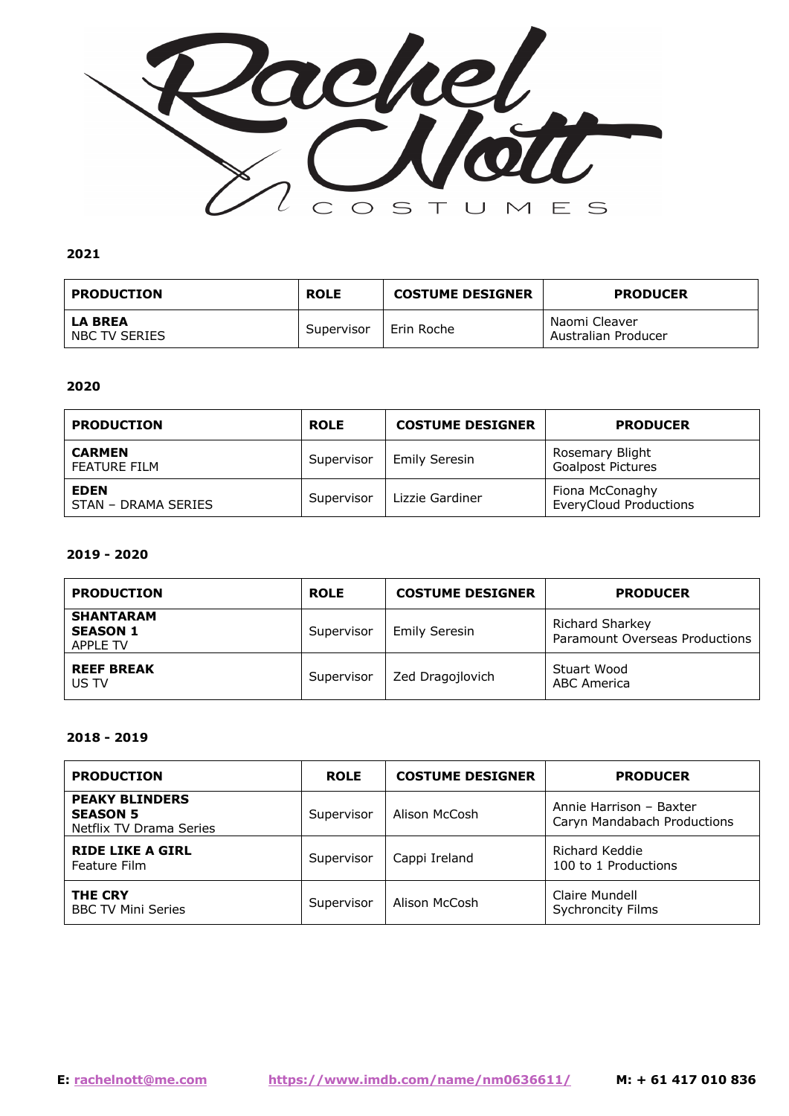

| <b>PRODUCTION</b>               | <b>ROLE</b> | <b>COSTUME DESIGNER</b> | <b>PRODUCER</b>                      |
|---------------------------------|-------------|-------------------------|--------------------------------------|
| <b>LA BREA</b><br>NBC TV SERIES | Supervisor  | l Erin Roche            | Naomi Cleaver<br>Australian Producer |

# **2020**

| <b>PRODUCTION</b>                  | <b>ROLE</b> | <b>COSTUME DESIGNER</b> | <b>PRODUCER</b>                                  |
|------------------------------------|-------------|-------------------------|--------------------------------------------------|
| <b>CARMEN</b><br>FEATURE FILM      | Supervisor  | Emily Seresin           | Rosemary Blight<br><b>Goalpost Pictures</b>      |
| <b>EDEN</b><br>STAN - DRAMA SERIES | Supervisor  | Lizzie Gardiner         | Fiona McConaghy<br><b>EveryCloud Productions</b> |

#### **2019 - 2020**

| <b>PRODUCTION</b>                                      | <b>ROLE</b> | <b>COSTUME DESIGNER</b> | <b>PRODUCER</b>                                          |
|--------------------------------------------------------|-------------|-------------------------|----------------------------------------------------------|
| <b>SHANTARAM</b><br><b>SEASON 1</b><br><b>APPLE TV</b> | Supervisor  | <b>Emily Seresin</b>    | <b>Richard Sharkey</b><br>Paramount Overseas Productions |
| <b>REEF BREAK</b><br>US TV                             | Supervisor  | Zed Dragojlovich        | Stuart Wood<br>ABC America                               |

#### **2018 - 2019**

| <b>PRODUCTION</b>                                                   | <b>ROLE</b> | <b>COSTUME DESIGNER</b> | <b>PRODUCER</b>                                        |
|---------------------------------------------------------------------|-------------|-------------------------|--------------------------------------------------------|
| <b>PEAKY BLINDERS</b><br><b>SEASON 5</b><br>Netflix TV Drama Series | Supervisor  | Alison McCosh           | Annie Harrison - Baxter<br>Caryn Mandabach Productions |
| <b>RIDE LIKE A GIRL</b><br>Feature Film                             | Supervisor  | Cappi Ireland           | Richard Keddie<br>100 to 1 Productions                 |
| <b>THE CRY</b><br><b>BBC TV Mini Series</b>                         | Supervisor  | Alison McCosh           | Claire Mundell<br><b>Sychroncity Films</b>             |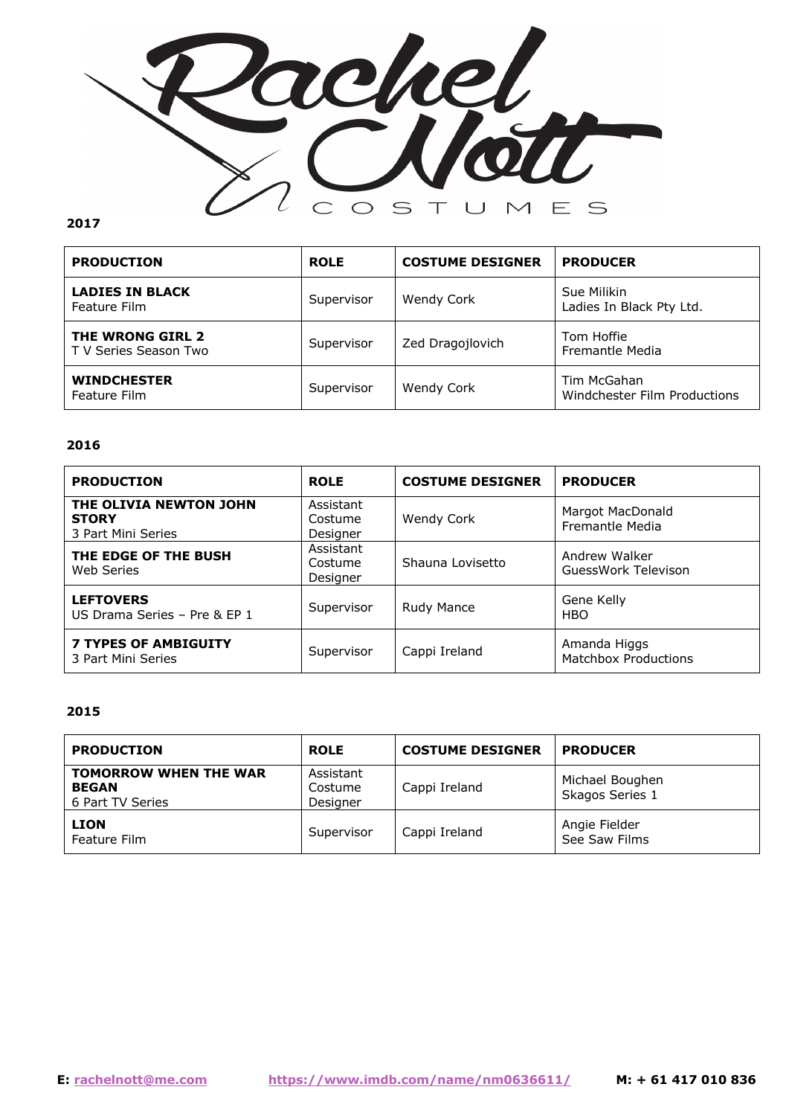

| <b>PRODUCTION</b>                         | <b>ROLE</b> | <b>COSTUME DESIGNER</b> | <b>PRODUCER</b>                             |
|-------------------------------------------|-------------|-------------------------|---------------------------------------------|
| <b>LADIES IN BLACK</b><br>Feature Film    | Supervisor  | <b>Wendy Cork</b>       | Sue Milikin<br>Ladies In Black Pty Ltd.     |
| THE WRONG GIRL 2<br>T V Series Season Two | Supervisor  | Zed Dragojlovich        | Tom Hoffie<br>Fremantle Media               |
| <b>WINDCHESTER</b><br>Feature Film        | Supervisor  | Wendy Cork              | Tim McGahan<br>Windchester Film Productions |

## **2016**

| <b>PRODUCTION</b>                                            | <b>ROLE</b>                      | <b>COSTUME DESIGNER</b> | <b>PRODUCER</b>                             |
|--------------------------------------------------------------|----------------------------------|-------------------------|---------------------------------------------|
| THE OLIVIA NEWTON JOHN<br><b>STORY</b><br>3 Part Mini Series | Assistant<br>Costume<br>Designer | Wendy Cork              | Margot MacDonald<br><b>Fremantle Media</b>  |
| THE EDGE OF THE BUSH<br>Web Series                           | Assistant<br>Costume<br>Designer | Shauna Lovisetto        | Andrew Walker<br>GuessWork Televison        |
| <b>LEFTOVERS</b><br>US Drama Series - Pre & EP 1             | Supervisor                       | Rudy Mance              | Gene Kelly<br><b>HBO</b>                    |
| <b>7 TYPES OF AMBIGUITY</b><br>3 Part Mini Series            | Supervisor                       | Cappi Ireland           | Amanda Higgs<br><b>Matchbox Productions</b> |

## **2015**

| <b>PRODUCTION</b>                                                | <b>ROLE</b>                      | <b>COSTUME DESIGNER</b> | <b>PRODUCER</b>                    |
|------------------------------------------------------------------|----------------------------------|-------------------------|------------------------------------|
| <b>TOMORROW WHEN THE WAR</b><br><b>BEGAN</b><br>6 Part TV Series | Assistant<br>Costume<br>Designer | Cappi Ireland           | Michael Boughen<br>Skagos Series 1 |
| <b>LION</b><br>Feature Film                                      | Supervisor                       | Cappi Ireland           | Angie Fielder<br>See Saw Films     |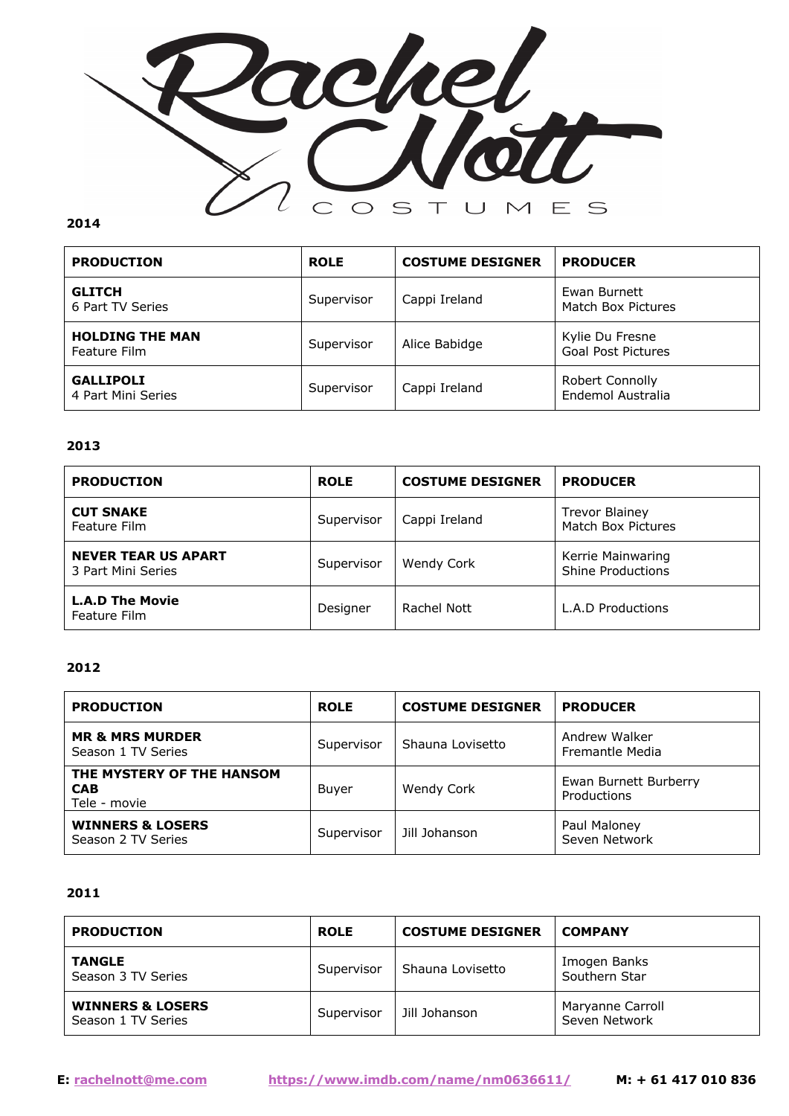

| <b>PRODUCTION</b>                      | <b>ROLE</b> | <b>COSTUME DESIGNER</b> | <b>PRODUCER</b>                              |
|----------------------------------------|-------------|-------------------------|----------------------------------------------|
| <b>GLITCH</b><br>6 Part TV Series      | Supervisor  | Cappi Ireland           | Ewan Burnett<br>Match Box Pictures           |
| <b>HOLDING THE MAN</b><br>Feature Film | Supervisor  | Alice Babidge           | Kylie Du Fresne<br><b>Goal Post Pictures</b> |
| <b>GALLIPOLI</b><br>4 Part Mini Series | Supervisor  | Cappi Ireland           | Robert Connolly<br>Endemol Australia         |

# **2013**

| <b>PRODUCTION</b>                                | <b>ROLE</b> | <b>COSTUME DESIGNER</b> | <b>PRODUCER</b>                               |
|--------------------------------------------------|-------------|-------------------------|-----------------------------------------------|
| <b>CUT SNAKE</b><br>Feature Film                 | Supervisor  | Cappi Ireland           | <b>Trevor Blainey</b><br>Match Box Pictures   |
| <b>NEVER TEAR US APART</b><br>3 Part Mini Series | Supervisor  | Wendy Cork              | Kerrie Mainwaring<br><b>Shine Productions</b> |
| <b>L.A.D The Movie</b><br>Feature Film           | Designer    | Rachel Nott             | <b>L.A.D Productions</b>                      |

## **2012**

| <b>PRODUCTION</b>                                       | <b>ROLE</b> | <b>COSTUME DESIGNER</b> | <b>PRODUCER</b>                      |
|---------------------------------------------------------|-------------|-------------------------|--------------------------------------|
| <b>MR &amp; MRS MURDER</b><br>Season 1 TV Series        | Supervisor  | Shauna Lovisetto        | Andrew Walker<br>Fremantle Media     |
| THE MYSTERY OF THE HANSOM<br><b>CAB</b><br>Tele - movie | Buyer       | <b>Wendy Cork</b>       | Ewan Burnett Burberry<br>Productions |
| <b>WINNERS &amp; LOSERS</b><br>Season 2 TV Series       | Supervisor  | Jill Johanson           | Paul Maloney<br>Seven Network        |

# **2011**

| <b>PRODUCTION</b>                                 | <b>ROLE</b> | <b>COSTUME DESIGNER</b> | <b>COMPANY</b>                    |
|---------------------------------------------------|-------------|-------------------------|-----------------------------------|
| <b>TANGLE</b><br>Season 3 TV Series               | Supervisor  | Shauna Lovisetto        | Imogen Banks<br>Southern Star     |
| <b>WINNERS &amp; LOSERS</b><br>Season 1 TV Series | Supervisor  | Jill Johanson           | Maryanne Carroll<br>Seven Network |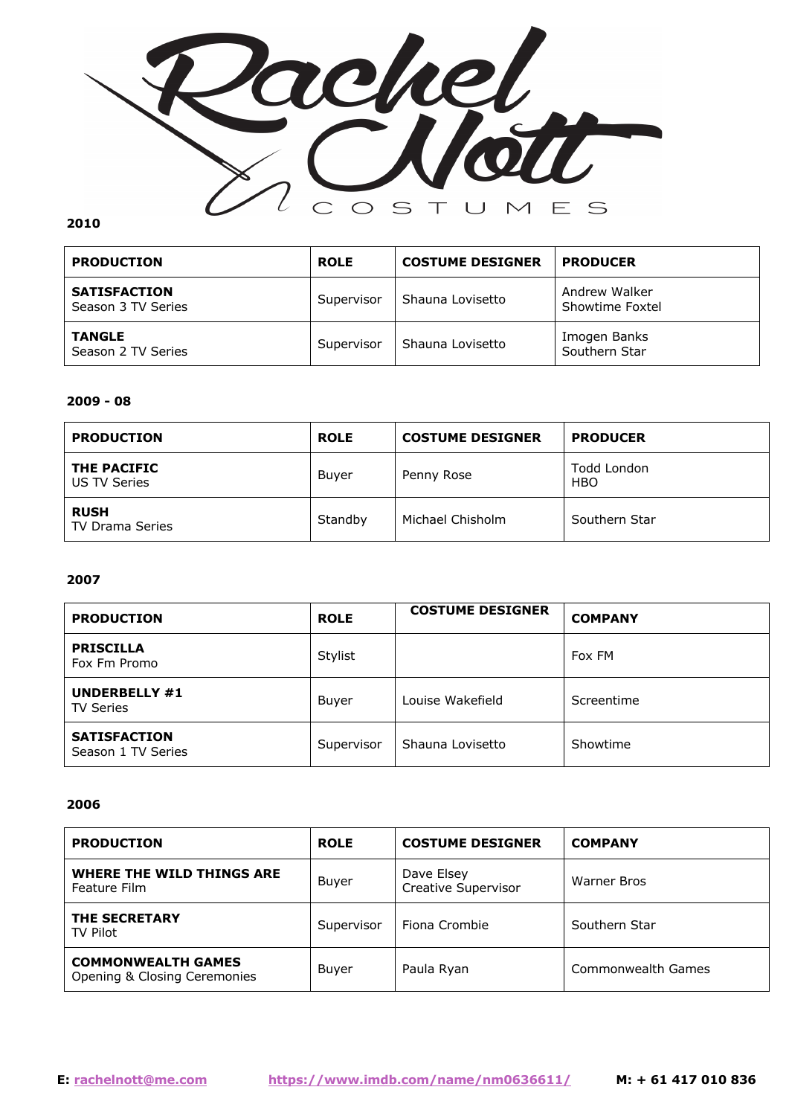

| <b>PRODUCTION</b>                         | <b>ROLE</b> | <b>COSTUME DESIGNER</b> | <b>PRODUCER</b>                  |
|-------------------------------------------|-------------|-------------------------|----------------------------------|
| <b>SATISFACTION</b><br>Season 3 TV Series | Supervisor  | Shauna Lovisetto        | Andrew Walker<br>Showtime Foxtel |
| <b>TANGLE</b><br>Season 2 TV Series       | Supervisor  | Shauna Lovisetto        | Imogen Banks<br>Southern Star    |

#### **2009 - 08**

| <b>PRODUCTION</b>                     | <b>ROLE</b> | <b>COSTUME DESIGNER</b> | <b>PRODUCER</b>           |
|---------------------------------------|-------------|-------------------------|---------------------------|
| THE PACIFIC<br>US TV Series           | Buyer       | Penny Rose              | Todd London<br><b>HBO</b> |
| <b>RUSH</b><br><b>TV Drama Series</b> | Standby     | Michael Chisholm        | Southern Star             |

#### **2007**

| <b>PRODUCTION</b>                         | <b>ROLE</b> | <b>COSTUME DESIGNER</b> | <b>COMPANY</b> |
|-------------------------------------------|-------------|-------------------------|----------------|
| <b>PRISCILLA</b><br>Fox Fm Promo          | Stylist     |                         | Fox FM         |
| UNDERBELLY #1<br><b>TV Series</b>         | Buyer       | Louise Wakefield        | Screentime     |
| <b>SATISFACTION</b><br>Season 1 TV Series | Supervisor  | Shauna Lovisetto        | Showtime       |

#### **2006**

| <b>PRODUCTION</b>                                         | <b>ROLE</b> | <b>COSTUME DESIGNER</b>           | <b>COMPANY</b>     |
|-----------------------------------------------------------|-------------|-----------------------------------|--------------------|
| WHERE THE WILD THINGS ARE<br>Feature Film                 | Buyer       | Dave Elsey<br>Creative Supervisor | Warner Bros        |
| <b>THE SECRETARY</b><br>TV Pilot                          | Supervisor  | Fiona Crombie                     | Southern Star      |
| <b>COMMONWEALTH GAMES</b><br>Opening & Closing Ceremonies | Buyer       | Paula Ryan                        | Commonwealth Games |